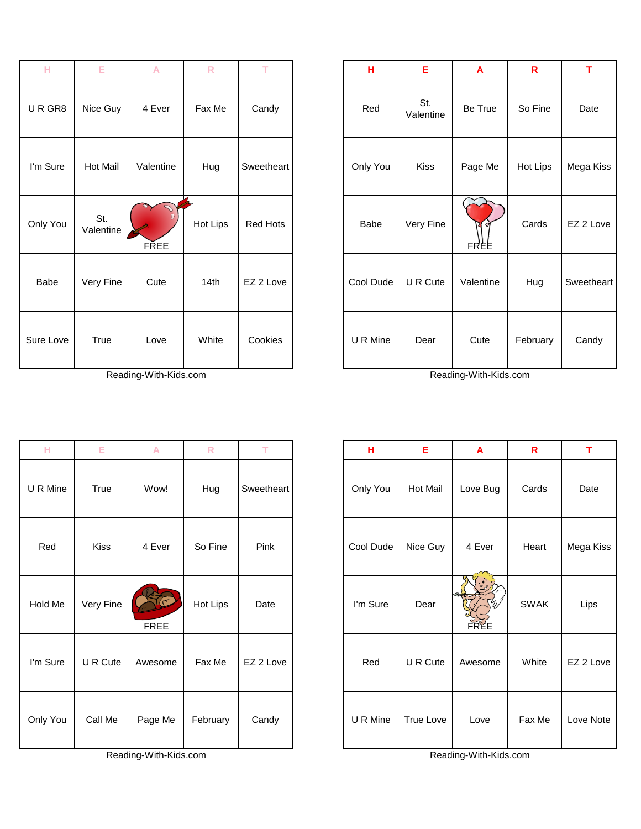| н         | Е                | A           | $\mathsf{R}$ | T               | н         | Е                | A          | R        | T.      |
|-----------|------------------|-------------|--------------|-----------------|-----------|------------------|------------|----------|---------|
| URGR8     | Nice Guy         | 4 Ever      | Fax Me       | Candy           | Red       | St.<br>Valentine | Be True    | So Fine  | Date    |
| I'm Sure  | Hot Mail         | Valentine   | Hug          | Sweetheart      | Only You  | Kiss             | Page Me    | Hot Lips | Mega Ki |
| Only You  | St.<br>Valentine | <b>FREE</b> | Hot Lips     | <b>Red Hots</b> | Babe      | Very Fine        | ÓΪ<br>FREE | Cards    | EZ 2 Lo |
| Babe      | Very Fine        | Cute        | 14th         | EZ 2 Love       | Cool Dude | U R Cute         | Valentine  | Hug      | Sweethe |
| Sure Love | True             | Love        | White        | Cookies         | U R Mine  | Dear             | Cute       | February | Candy   |

Reading-With-Kids.com Reading-With-Kids.com

| н        | Е           | A       | $\mathsf{R}$ | т          |
|----------|-------------|---------|--------------|------------|
| U R Mine | True        | Wow!    | Hug          | Sweetheart |
| Red      | <b>Kiss</b> | 4 Ever  | So Fine      | Pink       |
| Hold Me  | Very Fine   | FREE    | Hot Lips     | Date       |
| I'm Sure | U R Cute    | Awesome | Fax Me       | EZ 2 Love  |
| Only You | Call Me     | Page Me | February     | Candy      |

Reading-With-Kids.com Reading-With-Kids.com

| н         | E                | A           | $\mathsf{R}$ | T.         | н           | E                | $\overline{A}$ | $\mathbf R$ | T          |
|-----------|------------------|-------------|--------------|------------|-------------|------------------|----------------|-------------|------------|
| URGR8     | Nice Guy         | 4 Ever      | Fax Me       | Candy      | Red         | St.<br>Valentine | Be True        | So Fine     | Date       |
| I'm Sure  | <b>Hot Mail</b>  | Valentine   | Hug          | Sweetheart | Only You    | <b>Kiss</b>      | Page Me        | Hot Lips    | Mega Kiss  |
| Only You  | St.<br>Valentine | <b>FREE</b> | Hot Lips     | Red Hots   | <b>Babe</b> | Very Fine        | FREE           | Cards       | EZ 2 Love  |
| Babe      | Very Fine        | Cute        | 14th         | EZ 2 Love  | Cool Dude   | U R Cute         | Valentine      | Hug         | Sweetheart |
| Sure Love | True             | Love        | White        | Cookies    | U R Mine    | Dear             | Cute           | February    | Candy      |

| H       | Е           | $\mathsf{A}$ | ${\sf R}$ | T.         | н         | Ε                | A           | $\mathsf{R}$ | T         |
|---------|-------------|--------------|-----------|------------|-----------|------------------|-------------|--------------|-----------|
| R Mine  | True        | Wow!         | Hug       | Sweetheart | Only You  | <b>Hot Mail</b>  | Love Bug    | Cards        | Date      |
| Red     | <b>Kiss</b> | 4 Ever       | So Fine   | Pink       | Cool Dude | Nice Guy         | 4 Ever      | Heart        | Mega Kiss |
| old Me  | Very Fine   | <b>FREE</b>  | Hot Lips  | Date       | I'm Sure  | Dear             | <b>FREE</b> | <b>SWAK</b>  | Lips      |
| า Sure  | U R Cute    | Awesome      | Fax Me    | EZ 2 Love  | Red       | U R Cute         | Awesome     | White        | EZ 2 Love |
| ıly You | Call Me     | Page Me      | February  | Candy      | U R Mine  | <b>True Love</b> | Love        | Fax Me       | Love Note |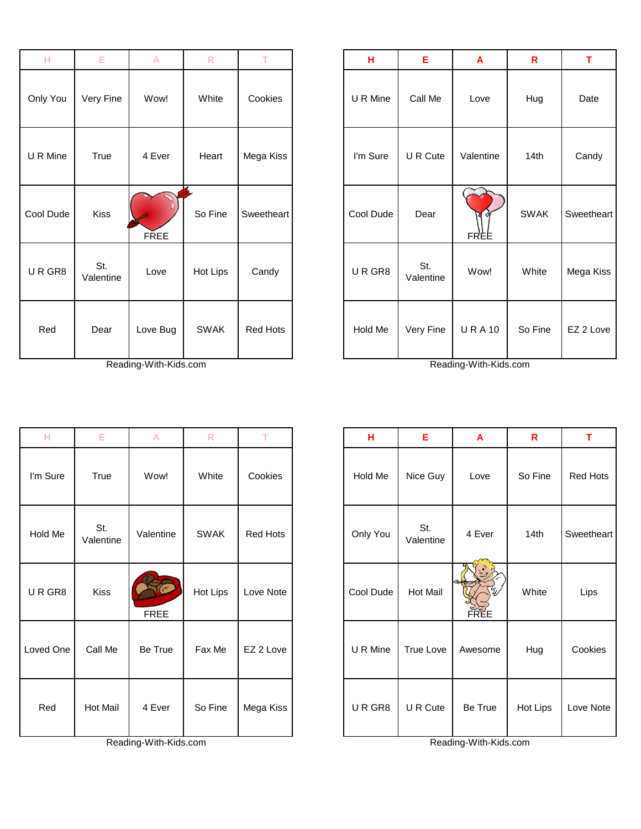| н         | E                | A           | ${\sf R}$   | T          | н         | Е                | A            | R                | T.      |
|-----------|------------------|-------------|-------------|------------|-----------|------------------|--------------|------------------|---------|
| Only You  | Very Fine        | Wow!        | White       | Cookies    | U R Mine  | Call Me          | Love         | Hug              | Date    |
| U R Mine  | True             | 4 Ever      | Heart       | Mega Kiss  | I'm Sure  | U R Cute         | Valentine    | 14 <sub>th</sub> | Candy   |
| Cool Dude | <b>Kiss</b>      | <b>FREE</b> | So Fine     | Sweetheart | Cool Dude | Dear             | Ø<br>FREE    | <b>SWAK</b>      | Sweethe |
| URGR8     | St.<br>Valentine | Love        | Hot Lips    | Candy      | URGR8     | St.<br>Valentine | Wow!         | White            | Mega Ki |
| Red       | Dear             | Love Bug    | <b>SWAK</b> | Red Hots   | Hold Me   | Very Fine        | <b>URA10</b> | So Fine          | EZ 2 Lo |

Reading-With-Kids.com Reading-With-Kids.com

| н         | E                | A                     | $\mathsf{R}$ | T         | н         | Е                | A                     | R        | T        |
|-----------|------------------|-----------------------|--------------|-----------|-----------|------------------|-----------------------|----------|----------|
| I'm Sure  | True             | Wow!                  | White        | Cookies   | Hold Me   | Nice Guy         | Love                  | So Fine  | Red Hot  |
| Hold Me   | St.<br>Valentine | Valentine             | <b>SWAK</b>  | Red Hots  | Only You  | St.<br>Valentine | 4 Ever                | 14th     | Sweethea |
| URGR8     | Kiss             | <b>FREE</b>           | Hot Lips     | Love Note | Cool Dude | Hot Mail         | <b>FREE</b>           | White    | Lips     |
| Loved One | Call Me          | Be True               | Fax Me       | EZ 2 Love | U R Mine  | <b>True Love</b> | Awesome               | Hug      | Cookies  |
| Red       | <b>Hot Mail</b>  | 4 Ever                | So Fine      | Mega Kiss | URGR8     | U R Cute         | Be True               | Hot Lips | Love Not |
|           |                  | Reading-With-Kids.com |              |           |           |                  | Reading-With-Kids.com |          |          |

| $\mathbb H$ | E                | $\overline{\mathsf{A}}$ | $\mathsf{R}$ | T.         | н         | E                | $\mathbf{A}$     | $\mathbf R$ | T.         |
|-------------|------------------|-------------------------|--------------|------------|-----------|------------------|------------------|-------------|------------|
| lly You     | Very Fine        | Wow!                    | White        | Cookies    | U R Mine  | Call Me          | Love             | Hug         | Date       |
| R Mine      | True             | 4 Ever                  | Heart        | Mega Kiss  | I'm Sure  | U R Cute         | Valentine        | 14th        | Candy      |
| ol Dude     | <b>Kiss</b>      | <b>FREE</b>             | So Fine      | Sweetheart | Cool Dude | Dear             | O<br><b>FREE</b> | <b>SWAK</b> | Sweetheart |
| R GR8       | St.<br>Valentine | Love                    | Hot Lips     | Candy      | URGR8     | St.<br>Valentine | Wow!             | White       | Mega Kiss  |
| Red         | Dear             | Love Bug                | <b>SWAK</b>  | Red Hots   | Hold Me   | Very Fine        | <b>URA10</b>     | So Fine     | EZ 2 Love  |

| н        | Е                | A           | ${\sf R}$   | т         | н         | E                | A           | $\mathbf R$ | т               |
|----------|------------------|-------------|-------------|-----------|-----------|------------------|-------------|-------------|-----------------|
| I'm Sure | True             | Wow!        | White       | Cookies   | Hold Me   | Nice Guy         | Love        | So Fine     | <b>Red Hots</b> |
| Hold Me  | St.<br>Valentine | Valentine   | <b>SWAK</b> | Red Hots  | Only You  | St.<br>Valentine | 4 Ever      | 14th        | Sweetheart      |
| URGR8    | Kiss             | <b>FREE</b> | Hot Lips    | Love Note | Cool Dude | Hot Mail         | <b>FREE</b> | White       | Lips            |
| oved One | Call Me          | Be True     | Fax Me      | EZ 2 Love | U R Mine  | True Love        | Awesome     | Hug         | Cookies         |
| Red      | <b>Hot Mail</b>  | 4 Ever      | So Fine     | Mega Kiss | URGR8     | U R Cute         | Be True     | Hot Lips    | Love Note       |